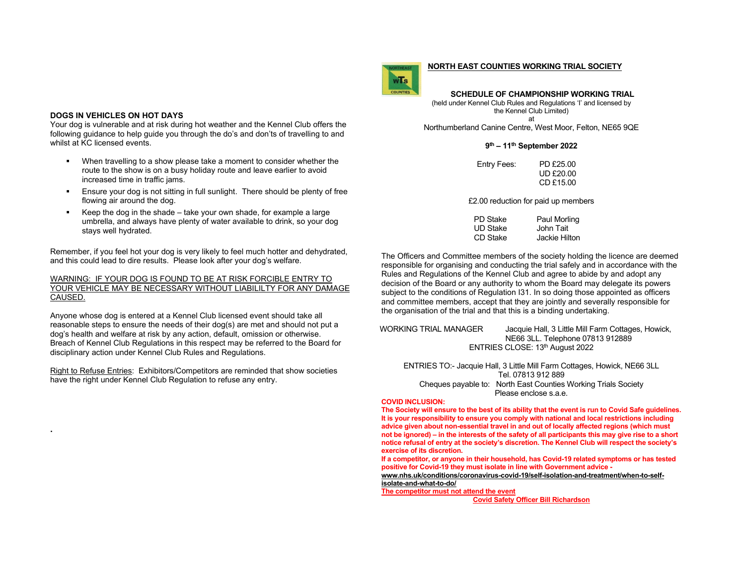### **DOGS IN VEHICLES ON HOT DAYS**

**.** 

Your dog is vulnerable and at risk during hot weather and the Kennel Club offers the following guidance to help guide you through the do's and don'ts of travelling to and whilst at KC licensed events.

- When travelling to a show please take a moment to consider whether the route to the show is on a busy holiday route and leave earlier to avoid increased time in traffic jams.
- Ensure your dog is not sitting in full sunlight. There should be plenty of free flowing air around the dog.
- Keep the dog in the shade  $-$  take your own shade, for example a large umbrella, and always have plenty of water available to drink, so your dog stays well hydrated.

Remember, if you feel hot your dog is very likely to feel much hotter and dehydrated, and this could lead to dire results. Please look after your dog's welfare.

### WARNING: IF YOUR DOG IS FOUND TO BE AT RISK FORCIBLE ENTRY TO YOUR VEHICLE MAY BE NECESSARY WITHOUT LIABILILTY FOR ANY DAMAGE CAUSED.

Anyone whose dog is entered at a Kennel Club licensed event should take all reasonable steps to ensure the needs of their dog(s) are met and should not put a dog's health and welfare at risk by any action, default, omission or otherwise. Breach of Kennel Club Regulations in this respect may be referred to the Board for disciplinary action under Kennel Club Rules and Regulations.

Right to Refuse Entries: Exhibitors/Competitors are reminded that show societies have the right under Kennel Club Regulation to refuse any entry.

### **NORTH EAST COUNTIES WORKING TRIAL SOCIETY**

 **SCHEDULE OF CHAMPIONSHIP WORKING TRIAL** (held under Kennel Club Rules and Regulations 'I' and licensed by the Kennel Club Limited)

at Northumberland Canine Centre, West Moor, Felton, NE65 9QE

## **9th – 11th September 2022**

| Entry Fees: | PD £25.00        |
|-------------|------------------|
|             | <b>UD £20.00</b> |
|             | CD £15.00        |

£2.00 reduction for paid up members

| PD Stake | Paul Morling  |
|----------|---------------|
| UD Stake | John Tait     |
| CD Stake | Jackie Hilton |

The Officers and Committee members of the society holding the licence are deemed responsible for organising and conducting the trial safely and in accordance with the Rules and Regulations of the Kennel Club and agree to abide by and adopt any decision of the Board or any authority to whom the Board may delegate its powers subject to the conditions of Regulation I31. In so doing those appointed as officers and committee members, accept that they are jointly and severally responsible for the organisation of the trial and that this is a binding undertaking.

WORKING TRIAL MANAGER Jacquie Hall, 3 Little Mill Farm Cottages, Howick, NE66 3LL. Telephone 07813 912889 ENTRIES CLOSE: 13<sup>th</sup> August 2022

ENTRIES TO:- Jacquie Hall, 3 Little Mill Farm Cottages, Howick, NE66 3LL Tel. 07813 912 889 Cheques payable to: North East Counties Working Trials Society Please enclose s.a.e.

#### **COVID INCLUSION:**

 $W$ <sup> $\overline{I}$ s</sup>

 **The Society will ensure to the best of its ability that the event is run to Covid Safe guidelines. It is your responsibility to ensure you comply with national and local restrictions including advice given about non-essential travel in and out of locally affected regions (which must not be ignored) – in the interests of the safety of all participants this may give rise to a short notice refusal of entry at the society's discretion. The Kennel Club will respect the society's exercise of its discretion.** 

**If a competitor, or anyone in their household, has Covid-19 related symptoms or has tested positive for Covid-19 they must isolate in line with Government advice -** 

**www.nhs.uk/conditions/coronavirus-covid-19/self-isolation-and-treatment/when-to-self-**

**isolate-and-what-to-do/ The competitor must not attend the event** 

**Covid Safety Officer Bill Richardson**